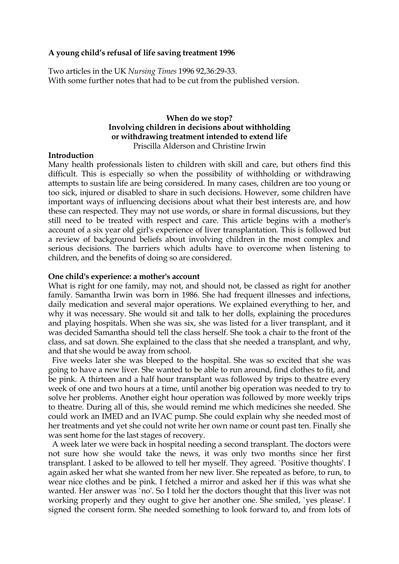# **A young child's refusal of life saving treatment 1996**

Two articles in the UK *Nursing Times* 1996 92,36:29-33. With some further notes that had to be cut from the published version.

# **When do we stop? Involving children in decisions about withholding or withdrawing treatment intended to extend life** Priscilla Alderson and Christine Irwin

# **Introduction**

Many health professionals listen to children with skill and care, but others find this difficult. This is especially so when the possibility of withholding or withdrawing attempts to sustain life are being considered. In many cases, children are too young or too sick, injured or disabled to share in such decisions. However, some children have important ways of influencing decisions about what their best interests are, and how these can respected. They may not use words, or share in formal discussions, but they still need to be treated with respect and care. This article begins with a mother's account of a six year old girl's experience of liver transplantation. This is followed but a review of background beliefs about involving children in the most complex and serious decisions. The barriers which adults have to overcome when listening to children, and the benefits of doing so are considered.

# **One child's experience: a mother's account**

What is right for one family, may not, and should not, be classed as right for another family. Samantha Irwin was born in 1986. She had frequent illnesses and infections, daily medication and several major operations. We explained everything to her, and why it was necessary. She would sit and talk to her dolls, explaining the procedures and playing hospitals. When she was six, she was listed for a liver transplant, and it was decided Samantha should tell the class herself. She took a chair to the front of the class, and sat down. She explained to the class that she needed a transplant, and why, and that she would be away from school.

 Five weeks later she was bleeped to the hospital. She was so excited that she was going to have a new liver. She wanted to be able to run around, find clothes to fit, and be pink. A thirteen and a half hour transplant was followed by trips to theatre every week of one and two hours at a time, until another big operation was needed to try to solve her problems. Another eight hour operation was followed by more weekly trips to theatre. During all of this, she would remind me which medicines she needed. She could work an IMED and an IVAC pump. She could explain why she needed most of her treatments and yet she could not write her own name or count past ten. Finally she was sent home for the last stages of recovery.

 A week later we were back in hospital needing a second transplant. The doctors were not sure how she would take the news, it was only two months since her first transplant. I asked to be allowed to tell her myself. They agreed. `Positive thoughts'. I again asked her what she wanted from her new liver. She repeated as before, to run, to wear nice clothes and be pink. I fetched a mirror and asked her if this was what she wanted. Her answer was `no'. So I told her the doctors thought that this liver was not working properly and they ought to give her another one. She smiled, `yes please'. I signed the consent form. She needed something to look forward to, and from lots of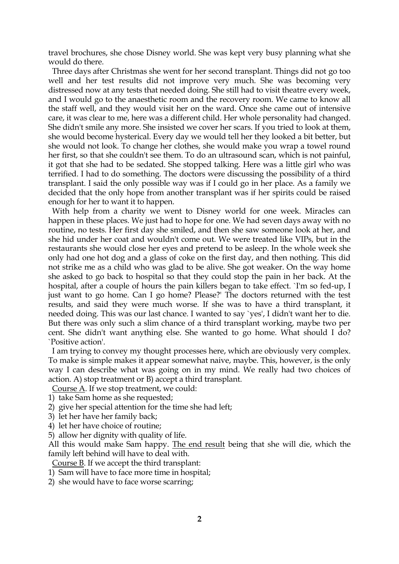travel brochures, she chose Disney world. She was kept very busy planning what she would do there.

 Three days after Christmas she went for her second transplant. Things did not go too well and her test results did not improve very much. She was becoming very distressed now at any tests that needed doing. She still had to visit theatre every week, and I would go to the anaesthetic room and the recovery room. We came to know all the staff well, and they would visit her on the ward. Once she came out of intensive care, it was clear to me, here was a different child. Her whole personality had changed. She didn't smile any more. She insisted we cover her scars. If you tried to look at them, she would become hysterical. Every day we would tell her they looked a bit better, but she would not look. To change her clothes, she would make you wrap a towel round her first, so that she couldn't see them. To do an ultrasound scan, which is not painful, it got that she had to be sedated. She stopped talking. Here was a little girl who was terrified. I had to do something. The doctors were discussing the possibility of a third transplant. I said the only possible way was if I could go in her place. As a family we decided that the only hope from another transplant was if her spirits could be raised enough for her to want it to happen.

 With help from a charity we went to Disney world for one week. Miracles can happen in these places. We just had to hope for one. We had seven days away with no routine, no tests. Her first day she smiled, and then she saw someone look at her, and she hid under her coat and wouldn't come out. We were treated like VIPs, but in the restaurants she would close her eyes and pretend to be asleep. In the whole week she only had one hot dog and a glass of coke on the first day, and then nothing. This did not strike me as a child who was glad to be alive. She got weaker. On the way home she asked to go back to hospital so that they could stop the pain in her back. At the hospital, after a couple of hours the pain killers began to take effect. `I'm so fed-up, I just want to go home. Can I go home? Please?' The doctors returned with the test results, and said they were much worse. If she was to have a third transplant, it needed doing. This was our last chance. I wanted to say `yes', I didn't want her to die. But there was only such a slim chance of a third transplant working, maybe two per cent. She didn't want anything else. She wanted to go home. What should I do? `Positive action'.

 I am trying to convey my thought processes here, which are obviously very complex. To make is simple makes it appear somewhat naive, maybe. This, however, is the only way I can describe what was going on in my mind. We really had two choices of action. A) stop treatment or B) accept a third transplant.

Course A. If we stop treatment, we could:

- 1) take Sam home as she requested;
- 2) give her special attention for the time she had left;
- 3) let her have her family back;
- 4) let her have choice of routine;
- 5) allow her dignity with quality of life.

All this would make Sam happy. The end result being that she will die, which the family left behind will have to deal with.

Course B. If we accept the third transplant:

- 1) Sam will have to face more time in hospital;
- 2) she would have to face worse scarring;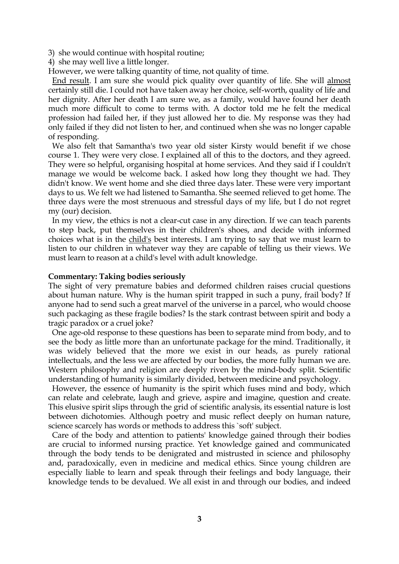3) she would continue with hospital routine;

4) she may well live a little longer.

However, we were talking quantity of time, not quality of time.

 End result. I am sure she would pick quality over quantity of life. She will almost certainly still die. I could not have taken away her choice, self-worth, quality of life and her dignity. After her death I am sure we, as a family, would have found her death much more difficult to come to terms with. A doctor told me he felt the medical profession had failed her, if they just allowed her to die. My response was they had only failed if they did not listen to her, and continued when she was no longer capable of responding.

 We also felt that Samantha's two year old sister Kirsty would benefit if we chose course 1. They were very close. I explained all of this to the doctors, and they agreed. They were so helpful, organising hospital at home services. And they said if I couldn't manage we would be welcome back. I asked how long they thought we had. They didn't know. We went home and she died three days later. These were very important days to us. We felt we had listened to Samantha. She seemed relieved to get home. The three days were the most strenuous and stressful days of my life, but I do not regret my (our) decision.

 In my view, the ethics is not a clear-cut case in any direction. If we can teach parents to step back, put themselves in their children's shoes, and decide with informed choices what is in the child's best interests. I am trying to say that we must learn to listen to our children in whatever way they are capable of telling us their views. We must learn to reason at a child's level with adult knowledge.

# **Commentary: Taking bodies seriously**

The sight of very premature babies and deformed children raises crucial questions about human nature. Why is the human spirit trapped in such a puny, frail body? If anyone had to send such a great marvel of the universe in a parcel, who would choose such packaging as these fragile bodies? Is the stark contrast between spirit and body a tragic paradox or a cruel joke?

 One age-old response to these questions has been to separate mind from body, and to see the body as little more than an unfortunate package for the mind. Traditionally, it was widely believed that the more we exist in our heads, as purely rational intellectuals, and the less we are affected by our bodies, the more fully human we are. Western philosophy and religion are deeply riven by the mind-body split. Scientific understanding of humanity is similarly divided, between medicine and psychology.

 However, the essence of humanity is the spirit which fuses mind and body, which can relate and celebrate, laugh and grieve, aspire and imagine, question and create. This elusive spirit slips through the grid of scientific analysis, its essential nature is lost between dichotomies. Although poetry and music reflect deeply on human nature, science scarcely has words or methods to address this `soft' subject.

 Care of the body and attention to patients' knowledge gained through their bodies are crucial to informed nursing practice. Yet knowledge gained and communicated through the body tends to be denigrated and mistrusted in science and philosophy and, paradoxically, even in medicine and medical ethics. Since young children are especially liable to learn and speak through their feelings and body language, their knowledge tends to be devalued. We all exist in and through our bodies, and indeed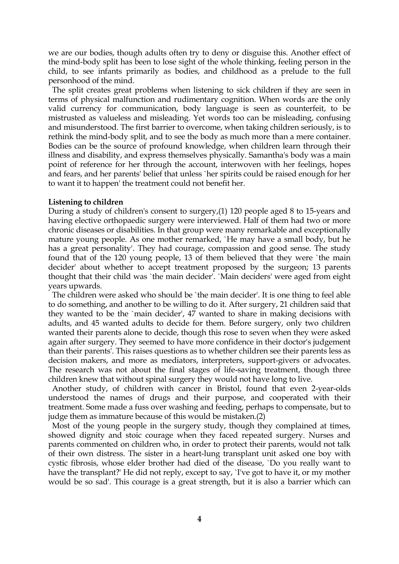we are our bodies, though adults often try to deny or disguise this. Another effect of the mind-body split has been to lose sight of the whole thinking, feeling person in the child, to see infants primarily as bodies, and childhood as a prelude to the full personhood of the mind.

 The split creates great problems when listening to sick children if they are seen in terms of physical malfunction and rudimentary cognition. When words are the only valid currency for communication, body language is seen as counterfeit, to be mistrusted as valueless and misleading. Yet words too can be misleading, confusing and misunderstood. The first barrier to overcome, when taking children seriously, is to rethink the mind-body split, and to see the body as much more than a mere container. Bodies can be the source of profound knowledge, when children learn through their illness and disability, and express themselves physically. Samantha's body was a main point of reference for her through the account, interwoven with her feelings, hopes and fears, and her parents' belief that unless `her spirits could be raised enough for her to want it to happen' the treatment could not benefit her.

#### **Listening to children**

During a study of children's consent to surgery,(1) 120 people aged 8 to 15-years and having elective orthopaedic surgery were interviewed. Half of them had two or more chronic diseases or disabilities. In that group were many remarkable and exceptionally mature young people. As one mother remarked, `He may have a small body, but he has a great personality'. They had courage, compassion and good sense. The study found that of the 120 young people, 13 of them believed that they were `the main decider' about whether to accept treatment proposed by the surgeon; 13 parents thought that their child was `the main decider'. `Main deciders' were aged from eight years upwards.

 The children were asked who should be `the main decider'. It is one thing to feel able to do something, and another to be willing to do it. After surgery, 21 children said that they wanted to be the `main decider', 47 wanted to share in making decisions with adults, and 45 wanted adults to decide for them. Before surgery, only two children wanted their parents alone to decide, though this rose to seven when they were asked again after surgery. They seemed to have more confidence in their doctor's judgement than their parents'. This raises questions as to whether children see their parents less as decision makers, and more as mediators, interpreters, support-givers or advocates. The research was not about the final stages of life-saving treatment, though three children knew that without spinal surgery they would not have long to live.

 Another study, of children with cancer in Bristol, found that even 2-year-olds understood the names of drugs and their purpose, and cooperated with their treatment. Some made a fuss over washing and feeding, perhaps to compensate, but to judge them as immature because of this would be mistaken.(2)

 Most of the young people in the surgery study, though they complained at times, showed dignity and stoic courage when they faced repeated surgery. Nurses and parents commented on children who, in order to protect their parents, would not talk of their own distress. The sister in a heart-lung transplant unit asked one boy with cystic fibrosis, whose elder brother had died of the disease, `Do you really want to have the transplant?' He did not reply, except to say, `I've got to have it, or my mother would be so sad'. This courage is a great strength, but it is also a barrier which can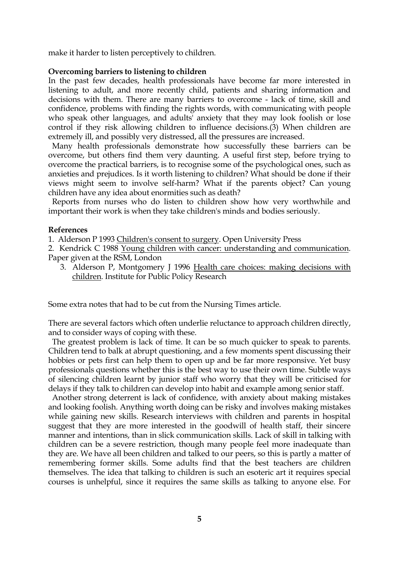make it harder to listen perceptively to children.

# **Overcoming barriers to listening to children**

In the past few decades, health professionals have become far more interested in listening to adult, and more recently child, patients and sharing information and decisions with them. There are many barriers to overcome - lack of time, skill and confidence, problems with finding the rights words, with communicating with people who speak other languages, and adults' anxiety that they may look foolish or lose control if they risk allowing children to influence decisions.(3) When children are extremely ill, and possibly very distressed, all the pressures are increased.

 Many health professionals demonstrate how successfully these barriers can be overcome, but others find them very daunting. A useful first step, before trying to overcome the practical barriers, is to recognise some of the psychological ones, such as anxieties and prejudices. Is it worth listening to children? What should be done if their views might seem to involve self-harm? What if the parents object? Can young children have any idea about enormities such as death?

 Reports from nurses who do listen to children show how very worthwhile and important their work is when they take children's minds and bodies seriously.

# **References**

1. Alderson P 1993 Children's consent to surgery. Open University Press

2. Kendrick C 1988 Young children with cancer: understanding and communication. Paper given at the RSM, London

3. Alderson P, Montgomery J 1996 Health care choices: making decisions with children. Institute for Public Policy Research

Some extra notes that had to be cut from the Nursing Times article.

There are several factors which often underlie reluctance to approach children directly, and to consider ways of coping with these.

 The greatest problem is lack of time. It can be so much quicker to speak to parents. Children tend to balk at abrupt questioning, and a few moments spent discussing their hobbies or pets first can help them to open up and be far more responsive. Yet busy professionals questions whether this is the best way to use their own time. Subtle ways of silencing children learnt by junior staff who worry that they will be criticised for delays if they talk to children can develop into habit and example among senior staff.

 Another strong deterrent is lack of confidence, with anxiety about making mistakes and looking foolish. Anything worth doing can be risky and involves making mistakes while gaining new skills. Research interviews with children and parents in hospital suggest that they are more interested in the goodwill of health staff, their sincere manner and intentions, than in slick communication skills. Lack of skill in talking with children can be a severe restriction, though many people feel more inadequate than they are. We have all been children and talked to our peers, so this is partly a matter of remembering former skills. Some adults find that the best teachers are children themselves. The idea that talking to children is such an esoteric art it requires special courses is unhelpful, since it requires the same skills as talking to anyone else. For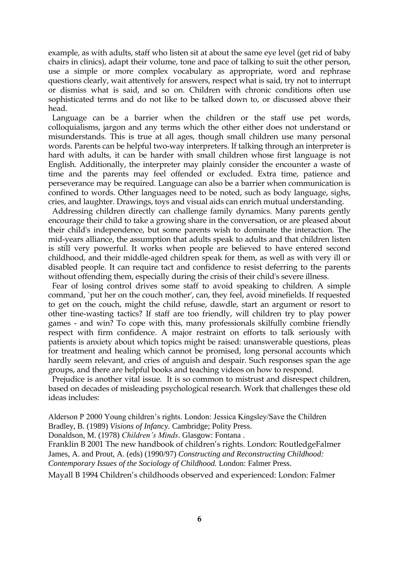example, as with adults, staff who listen sit at about the same eye level (get rid of baby chairs in clinics), adapt their volume, tone and pace of talking to suit the other person, use a simple or more complex vocabulary as appropriate, word and rephrase questions clearly, wait attentively for answers, respect what is said, try not to interrupt or dismiss what is said, and so on. Children with chronic conditions often use sophisticated terms and do not like to be talked down to, or discussed above their head.

 Language can be a barrier when the children or the staff use pet words, colloquialisms, jargon and any terms which the other either does not understand or misunderstands. This is true at all ages, though small children use many personal words. Parents can be helpful two-way interpreters. If talking through an interpreter is hard with adults, it can be harder with small children whose first language is not English. Additionally, the interpreter may plainly consider the encounter a waste of time and the parents may feel offended or excluded. Extra time, patience and perseverance may be required. Language can also be a barrier when communication is confined to words. Other languages need to be noted, such as body language, sighs, cries, and laughter. Drawings, toys and visual aids can enrich mutual understanding.

 Addressing children directly can challenge family dynamics. Many parents gently encourage their child to take a growing share in the conversation, or are pleased about their child's independence, but some parents wish to dominate the interaction. The mid-years alliance, the assumption that adults speak to adults and that children listen is still very powerful. It works when people are believed to have entered second childhood, and their middle-aged children speak for them, as well as with very ill or disabled people. It can require tact and confidence to resist deferring to the parents without offending them, especially during the crisis of their child's severe illness.

 Fear of losing control drives some staff to avoid speaking to children. A simple command, `put her on the couch mother', can, they feel, avoid minefields. If requested to get on the couch, might the child refuse, dawdle, start an argument or resort to other tine-wasting tactics? If staff are too friendly, will children try to play power games - and win? To cope with this, many professionals skilfully combine friendly respect with firm confidence. A major restraint on efforts to talk seriously with patients is anxiety about which topics might be raised: unanswerable questions, pleas for treatment and healing which cannot be promised, long personal accounts which hardly seem relevant, and cries of anguish and despair. Such responses span the age groups, and there are helpful books and teaching videos on how to respond.

 Prejudice is another vital issue. It is so common to mistrust and disrespect children, based on decades of misleading psychological research. Work that challenges these old ideas includes:

Alderson P 2000 Young children's rights. London: Jessica Kingsley/Save the Children Bradley, B. (1989) *Visions of Infancy.* Cambridge; Polity Press.

Donaldson, M. (1978) *Children's Minds*. Glasgow: Fontana .

Franklin B 2001 The new handbook of children's rights. London: RoutledgeFalmer James, A. and Prout, A. (eds) (1990/97) *Constructing and Reconstructing Childhood: Contemporary Issues of the Sociology of Childhood.* London: Falmer Press.

Mayall B 1994 Children's childhoods observed and experienced: London: Falmer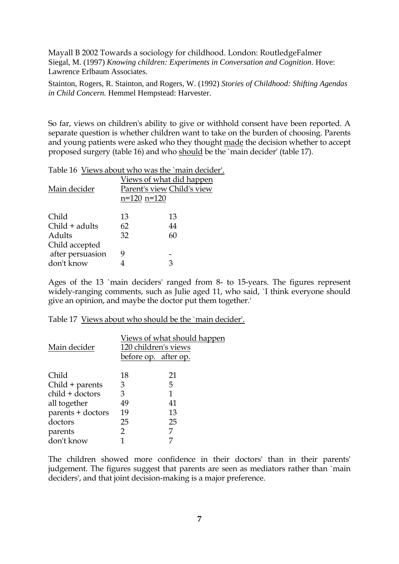Mayall B 2002 Towards a sociology for childhood. London: RoutledgeFalmer Siegal, M. (1997) *Knowing children: Experiments in Conversation and Cognition*. Hove: Lawrence Erlbaum Associates.

Stainton, Rogers, R. Stainton, and Rogers, W. (1992) *Stories of Childhood: Shifting Agendas in Child Concern.* Hemmel Hempstead: Harvester.

So far, views on children's ability to give or withhold consent have been reported. A separate question is whether children want to take on the burden of choosing. Parents and young patients were asked who they thought made the decision whether to accept proposed surgery (table 16) and who should be the `main decider' (table 17).

Table 16 Views about who was the `main decider'.

| Main decider     | Views of what did happen<br>Parent's view Child's view<br>$n=120$ $n=120$ |    |
|------------------|---------------------------------------------------------------------------|----|
| Child            | 13                                                                        | 13 |
| $Child + adults$ | 62                                                                        | 44 |
| Adults           | 32                                                                        | 60 |
| Child accepted   |                                                                           |    |
| after persuasion | g                                                                         |    |
| don't know       |                                                                           | З  |
|                  |                                                                           |    |

Ages of the 13 `main deciders' ranged from 8- to 15-years. The figures represent widely-ranging comments, such as Julie aged 11, who said, `I think everyone should give an opinion, and maybe the doctor put them together.'

Table 17 Views about who should be the `main decider'.

|    | <u>Views of what should happen</u>           |
|----|----------------------------------------------|
| 18 | 21                                           |
| З  | 5                                            |
| 3  | 1                                            |
| 49 | 41                                           |
| 19 | 13                                           |
| 25 | 25                                           |
| 2  |                                              |
|    |                                              |
|    | 120 children's views<br>before op. after op. |

The children showed more confidence in their doctors' than in their parents' judgement. The figures suggest that parents are seen as mediators rather than `main deciders', and that joint decision-making is a major preference.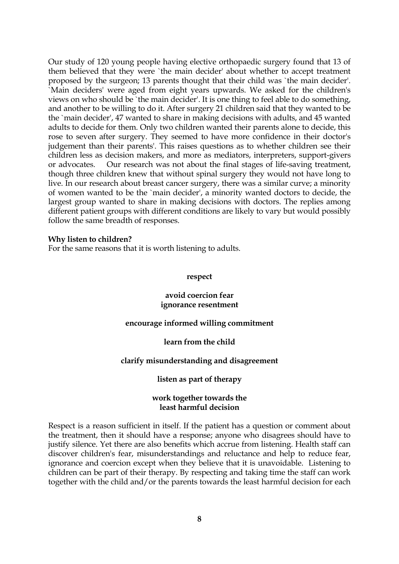Our study of 120 young people having elective orthopaedic surgery found that 13 of them believed that they were `the main decider' about whether to accept treatment proposed by the surgeon; 13 parents thought that their child was `the main decider'. `Main deciders' were aged from eight years upwards. We asked for the children's views on who should be `the main decider'. It is one thing to feel able to do something, and another to be willing to do it. After surgery 21 children said that they wanted to be the `main decider', 47 wanted to share in making decisions with adults, and 45 wanted adults to decide for them. Only two children wanted their parents alone to decide, this rose to seven after surgery. They seemed to have more confidence in their doctor's judgement than their parents'. This raises questions as to whether children see their children less as decision makers, and more as mediators, interpreters, support-givers or advocates. Our research was not about the final stages of life-saving treatment, though three children knew that without spinal surgery they would not have long to live. In our research about breast cancer surgery, there was a similar curve; a minority of women wanted to be the `main decider', a minority wanted doctors to decide, the largest group wanted to share in making decisions with doctors. The replies among different patient groups with different conditions are likely to vary but would possibly follow the same breadth of responses.

### **Why listen to children?**

For the same reasons that it is worth listening to adults.

#### **respect**

# **avoid coercion fear ignorance resentment**

# **encourage informed willing commitment**

#### **learn from the child**

# **clarify misunderstanding and disagreement**

# **listen as part of therapy**

### **work together towards the least harmful decision**

Respect is a reason sufficient in itself. If the patient has a question or comment about the treatment, then it should have a response; anyone who disagrees should have to justify silence. Yet there are also benefits which accrue from listening. Health staff can discover children's fear, misunderstandings and reluctance and help to reduce fear, ignorance and coercion except when they believe that it is unavoidable. Listening to children can be part of their therapy. By respecting and taking time the staff can work together with the child and/or the parents towards the least harmful decision for each